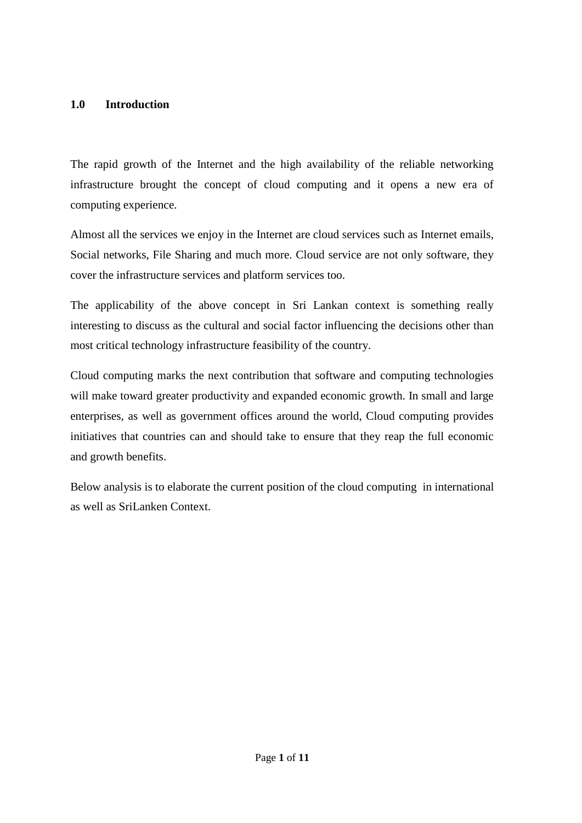#### **1.0 Introduction**

The rapid growth of the Internet and the high availability of the reliable networking infrastructure brought the concept of cloud computing and it opens a new era of computing experience.

Almost all the services we enjoy in the Internet are cloud services such as Internet emails, Social networks, File Sharing and much more. Cloud service are not only software, they cover the infrastructure services and platform services too.

The applicability of the above concept in Sri Lankan context is something really interesting to discuss as the cultural and social factor influencing the decisions other than most critical technology infrastructure feasibility of the country.

Cloud computing marks the next contribution that software and computing technologies will make toward greater productivity and expanded economic growth. In small and large enterprises, as well as government offices around the world, Cloud computing provides initiatives that countries can and should take to ensure that they reap the full economic and growth benefits.

Below analysis is to elaborate the current position of the cloud computing in international as well as SriLanken Context.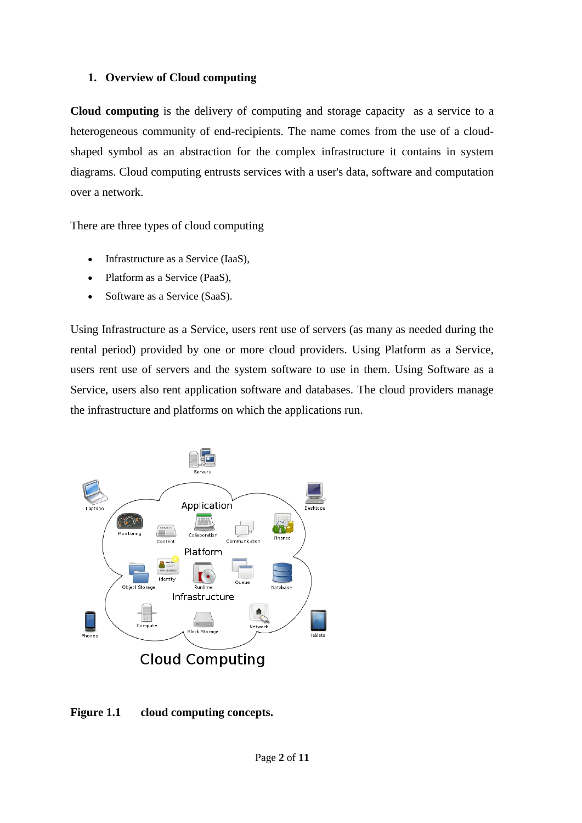### **1. Overview of Cloud computing**

**Cloud computing** is the delivery of [computing](http://en.wikipedia.org/wiki/Computing) and [storage capacity](http://en.wikipedia.org/wiki/Computer_data_storage) as a [service](http://en.wikipedia.org/wiki/Server_(computing)) to a heterogeneous community of end-recipients. The name comes from the use of a cloudshaped symbol as an abstraction for the complex infrastructure it contains in system diagrams. Cloud computing entrusts services with a user's data, software and computation over a network.

There are three types of cloud computing

- [Infrastructure as a Service](http://en.wikipedia.org/wiki/Infrastructure_as_a_Service) (IaaS),
- [Platform as a Service](http://en.wikipedia.org/wiki/Platform_as_a_Service) (PaaS),
- [Software as a Service](http://en.wikipedia.org/wiki/Software_as_a_Service) (SaaS).

Using Infrastructure as a Service, users rent use of servers (as many as needed during the rental period) provided by one or more cloud providers. Using Platform as a Service, users rent use of servers and the system software to use in them. Using Software as a Service, users also rent application software and databases. The cloud providers manage the infrastructure and platforms on which the applications run.



## **Figure 1.1 cloud computing concepts.**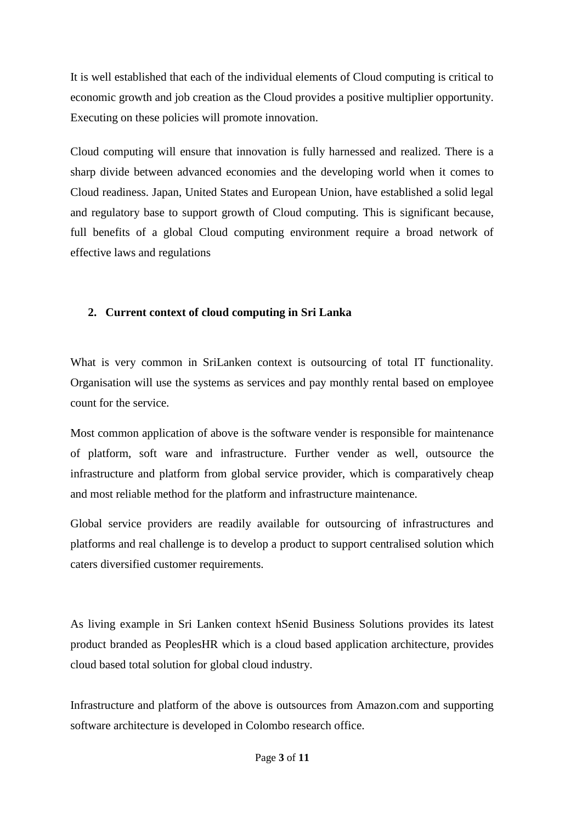It is well established that each of the individual elements of Cloud computing is critical to economic growth and job creation as the Cloud provides a positive multiplier opportunity. Executing on these policies will promote innovation.

Cloud computing will ensure that innovation is fully harnessed and realized. There is a sharp divide between advanced economies and the developing world when it comes to Cloud readiness. Japan, United States and European Union, have established a solid legal and regulatory base to support growth of Cloud computing. This is significant because, full benefits of a global Cloud computing environment require a broad network of effective laws and regulations

### **2. Current context of cloud computing in Sri Lanka**

What is very common in SriLanken context is outsourcing of total IT functionality. Organisation will use the systems as services and pay monthly rental based on employee count for the service.

Most common application of above is the software vender is responsible for maintenance of platform, soft ware and infrastructure. Further vender as well, outsource the infrastructure and platform from global service provider, which is comparatively cheap and most reliable method for the platform and infrastructure maintenance.

Global service providers are readily available for outsourcing of infrastructures and platforms and real challenge is to develop a product to support centralised solution which caters diversified customer requirements.

As living example in Sri Lanken context hSenid Business Solutions provides its latest product branded as PeoplesHR which is a cloud based application architecture, provides cloud based total solution for global cloud industry.

Infrastructure and platform of the above is outsources from Amazon.com and supporting software architecture is developed in Colombo research office.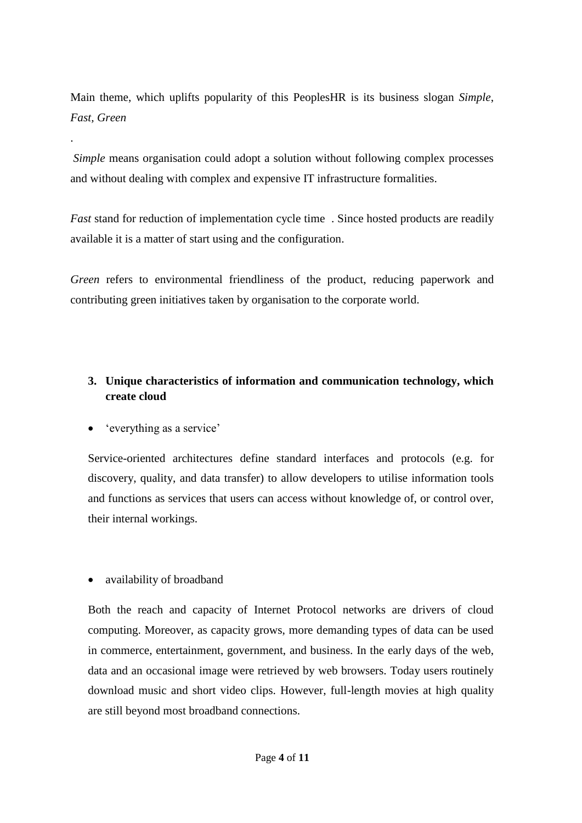Main theme, which uplifts popularity of this PeoplesHR is its business slogan *Simple*, *Fast, Green*

*Simple* means organisation could adopt a solution without following complex processes and without dealing with complex and expensive IT infrastructure formalities.

*Fast* stand for reduction of implementation cycle time . Since hosted products are readily available it is a matter of start using and the configuration.

*Green* refers to environmental friendliness of the product, reducing paperwork and contributing green initiatives taken by organisation to the corporate world.

# **3. Unique characteristics of information and communication technology, which create cloud**

'everything as a service'

.

Service-oriented architectures define standard interfaces and protocols (e.g. for discovery, quality, and data transfer) to allow developers to utilise information tools and functions as services that users can access without knowledge of, or control over, their internal workings.

availability of broadband

Both the reach and capacity of Internet Protocol networks are drivers of cloud computing. Moreover, as capacity grows, more demanding types of data can be used in commerce, entertainment, government, and business. In the early days of the web, data and an occasional image were retrieved by web browsers. Today users routinely download music and short video clips. However, full-length movies at high quality are still beyond most broadband connections.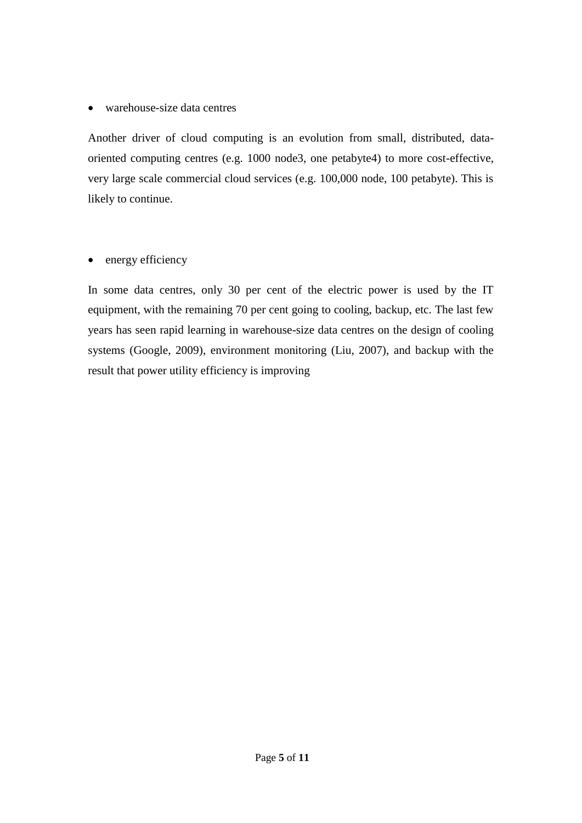warehouse-size data centres

Another driver of cloud computing is an evolution from small, distributed, dataoriented computing centres (e.g. 1000 node3, one petabyte4) to more cost-effective, very large scale commercial cloud services (e.g. 100,000 node, 100 petabyte). This is likely to continue.

• energy efficiency

In some data centres, only 30 per cent of the electric power is used by the IT equipment, with the remaining 70 per cent going to cooling, backup, etc. The last few years has seen rapid learning in warehouse-size data centres on the design of cooling systems (Google, 2009), environment monitoring (Liu, 2007), and backup with the result that power utility efficiency is improving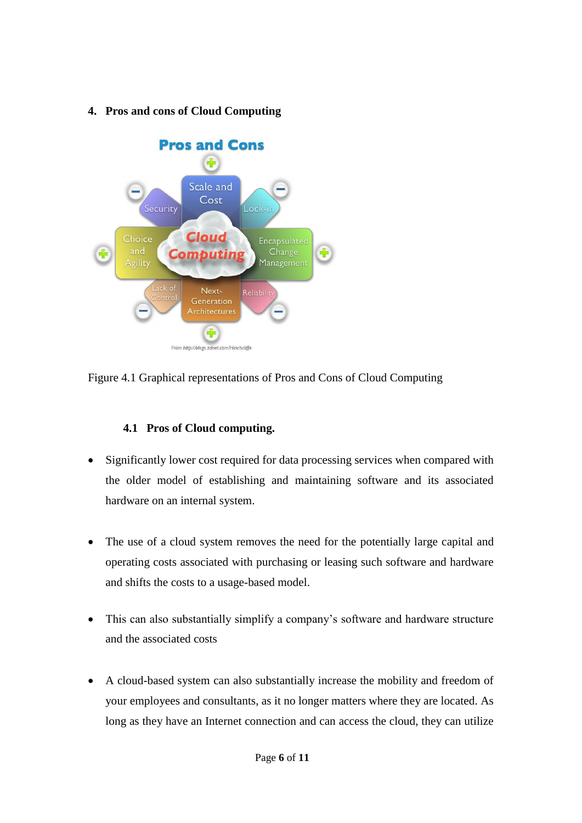**4. Pros and cons of Cloud Computing**



Figure 4.1 Graphical representations of Pros and Cons of Cloud Computing

## **4.1 Pros of Cloud computing.**

- Significantly lower cost required for data processing services when compared with the older model of establishing and maintaining software and its associated hardware on an internal system.
- The use of a cloud system removes the need for the potentially large capital and operating costs associated with purchasing or leasing such software and hardware and shifts the costs to a usage-based model.
- This can also substantially simplify a company's software and hardware structure and the associated costs
- A cloud-based system can also substantially increase the mobility and freedom of your employees and consultants, as it no longer matters where they are located. As long as they have an Internet connection and can access the cloud, they can utilize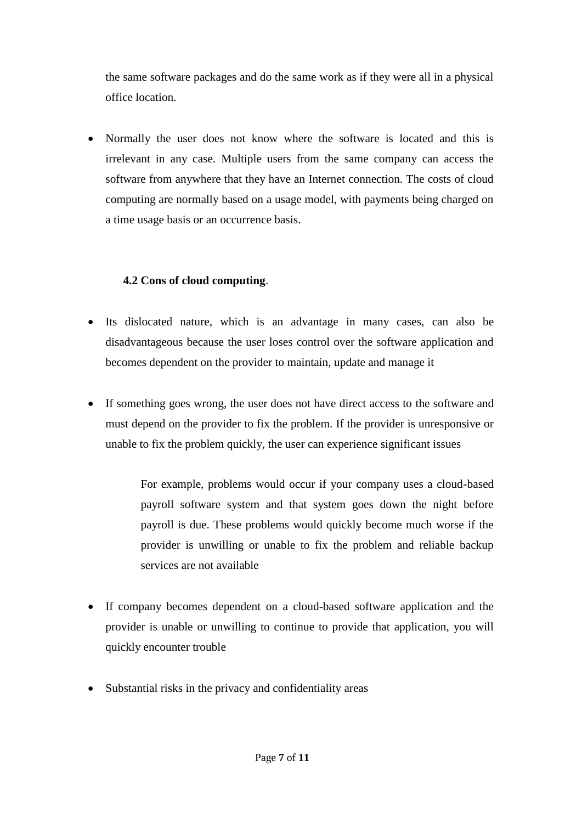the same software packages and do the same work as if they were all in a physical office location.

• Normally the user does not know where the software is located and this is irrelevant in any case. Multiple users from the same company can access the software from anywhere that they have an Internet connection. The costs of cloud computing are normally based on a usage model, with payments being charged on a time usage basis or an occurrence basis.

## **4.2 Cons of cloud computing**.

- Its dislocated nature, which is an advantage in many cases, can also be disadvantageous because the user loses control over the software application and becomes dependent on the provider to maintain, update and manage it
- If something goes wrong, the user does not have direct access to the software and must depend on the provider to fix the problem. If the provider is unresponsive or unable to fix the problem quickly, the user can experience significant issues

For example, problems would occur if your company uses a cloud-based payroll software system and that system goes down the night before payroll is due. These problems would quickly become much worse if the provider is unwilling or unable to fix the problem and reliable backup services are not available

- If company becomes dependent on a cloud-based software application and the provider is unable or unwilling to continue to provide that application, you will quickly encounter trouble
- Substantial risks in the privacy and confidentiality areas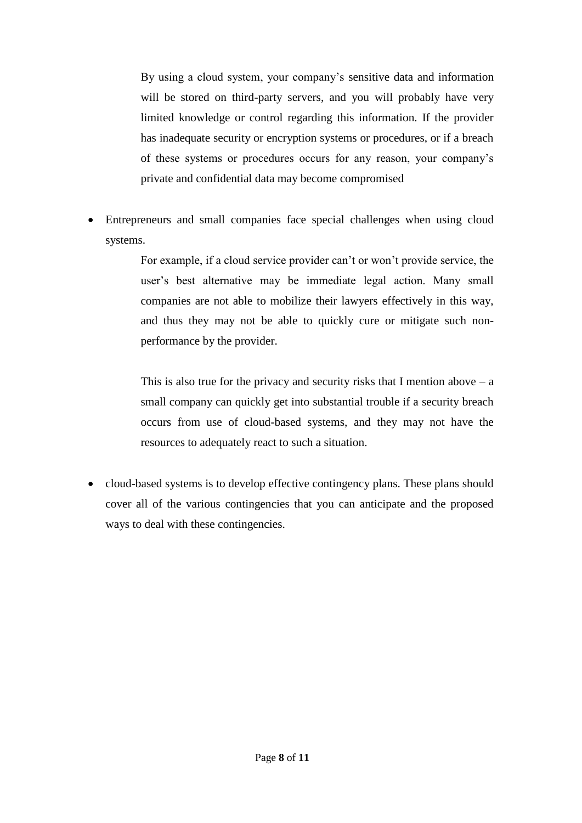By using a cloud system, your company's sensitive data and information will be stored on third-party servers, and you will probably have very limited knowledge or control regarding this information. If the provider has inadequate security or encryption systems or procedures, or if a breach of these systems or procedures occurs for any reason, your company's private and confidential data may become compromised

 Entrepreneurs and small companies face special challenges when using cloud systems.

> For example, if a cloud service provider can't or won't provide service, the user's best alternative may be immediate legal action. Many small companies are not able to mobilize their lawyers effectively in this way, and thus they may not be able to quickly cure or mitigate such nonperformance by the provider.

> This is also true for the privacy and security risks that I mention above  $- a$ small company can quickly get into substantial trouble if a security breach occurs from use of cloud-based systems, and they may not have the resources to adequately react to such a situation.

 cloud-based systems is to develop effective contingency plans. These plans should cover all of the various contingencies that you can anticipate and the proposed ways to deal with these contingencies.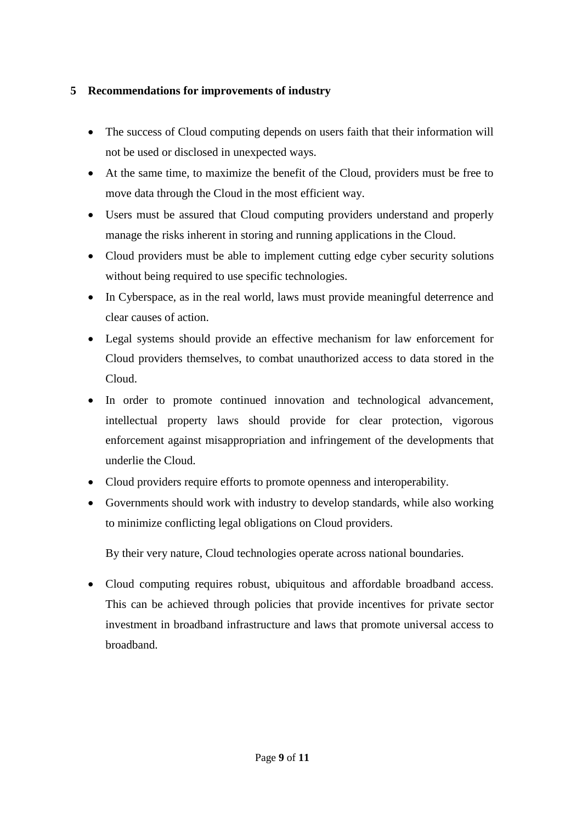### **5 Recommendations for improvements of industry**

- The success of Cloud computing depends on users faith that their information will not be used or disclosed in unexpected ways.
- At the same time, to maximize the benefit of the Cloud, providers must be free to move data through the Cloud in the most efficient way.
- Users must be assured that Cloud computing providers understand and properly manage the risks inherent in storing and running applications in the Cloud.
- Cloud providers must be able to implement cutting edge cyber security solutions without being required to use specific technologies.
- In Cyberspace, as in the real world, laws must provide meaningful deterrence and clear causes of action.
- Legal systems should provide an effective mechanism for law enforcement for Cloud providers themselves, to combat unauthorized access to data stored in the Cloud.
- In order to promote continued innovation and technological advancement, intellectual property laws should provide for clear protection, vigorous enforcement against misappropriation and infringement of the developments that underlie the Cloud.
- Cloud providers require efforts to promote openness and interoperability.
- Governments should work with industry to develop standards, while also working to minimize conflicting legal obligations on Cloud providers.

By their very nature, Cloud technologies operate across national boundaries.

 Cloud computing requires robust, ubiquitous and affordable broadband access. This can be achieved through policies that provide incentives for private sector investment in broadband infrastructure and laws that promote universal access to broadband.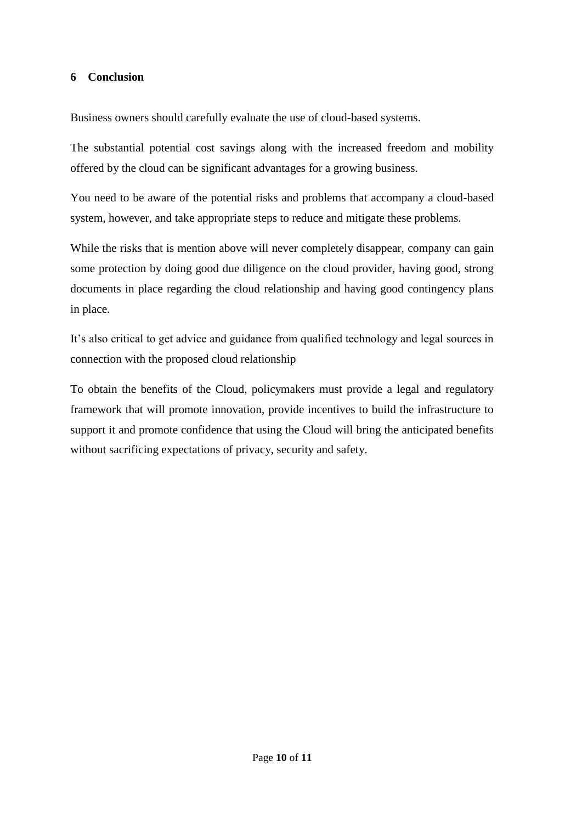#### **6 Conclusion**

Business owners should carefully evaluate the use of cloud-based systems.

The substantial potential cost savings along with the increased freedom and mobility offered by the cloud can be significant advantages for a growing business.

You need to be aware of the potential risks and problems that accompany a cloud-based system, however, and take appropriate steps to reduce and mitigate these problems.

While the risks that is mention above will never completely disappear, company can gain some protection by doing good due diligence on the cloud provider, having good, strong documents in place regarding the cloud relationship and having good contingency plans in place.

It's also critical to get advice and guidance from qualified technology and legal sources in connection with the proposed cloud relationship

To obtain the benefits of the Cloud, policymakers must provide a legal and regulatory framework that will promote innovation, provide incentives to build the infrastructure to support it and promote confidence that using the Cloud will bring the anticipated benefits without sacrificing expectations of privacy, security and safety.